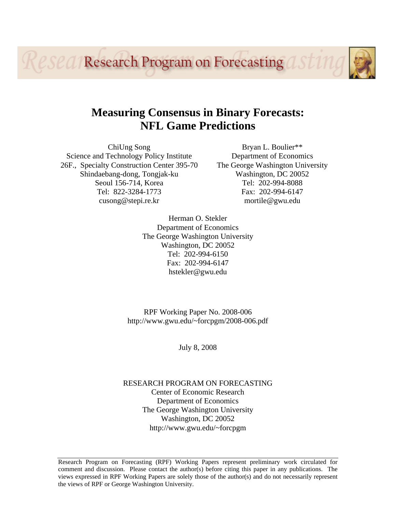**LESCA/Research Program on Forecasting** 

# **Measuring Consensus in Binary Forecasts: NFL Game Predictions**

ChiUng Song Science and Technology Policy Institute 26F., Specialty Construction Center 395-70 Shindaebang-dong, Tongjak-ku Seoul 156-714, Korea Tel: 822-3284-1773 cusong@stepi.re.kr

Bryan L. Boulier\*\* Department of Economics The George Washington University Washington, DC 20052 Tel: 202-994-8088 Fax: 202-994-6147 mortile@gwu.edu

Herman O. Stekler Department of Economics The George Washington University Washington, DC 20052 Tel: 202-994-6150 Fax: 202-994-6147 hstekler@gwu.edu

RPF Working Paper No. 2008-006 http://www.gwu.edu/~forcpgm/2008-006.pdf

July 8, 2008

RESEARCH PROGRAM ON FORECASTING Center of Economic Research

Department of Economics The George Washington University Washington, DC 20052 http://www.gwu.edu/~forcpgm

Research Program on Forecasting (RPF) Working Papers represent preliminary work circulated for comment and discussion. Please contact the author(s) before citing this paper in any publications. The views expressed in RPF Working Papers are solely those of the author(s) and do not necessarily represent the views of RPF or George Washington University.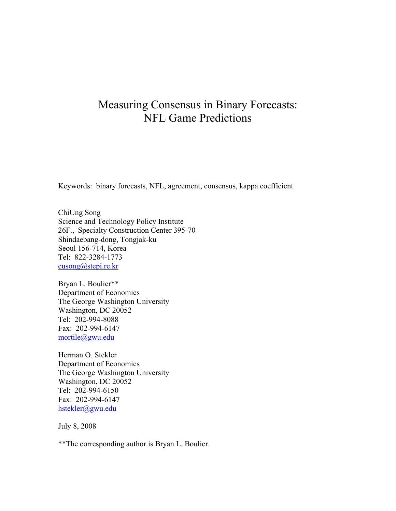# Measuring Consensus in Binary Forecasts: NFL Game Predictions

Keywords: binary forecasts, NFL, agreement, consensus, kappa coefficient

ChiUng Song Science and Technology Policy Institute 26F., Specialty Construction Center 395-70 Shindaebang-dong, Tongjak-ku Seoul 156-714, Korea Tel: 822-3284-1773 [cusong@stepi.re.kr](mailto:bruce@gwu.edu)

Bryan L. Boulier\*\* Department of Economics The George Washington University Washington, DC 20052 Tel: 202-994-8088 Fax: 202-994-6147 [mortile@gwu.edu](mailto:mortile@gwu.edu)

Herman O. Stekler Department of Economics The George Washington University Washington, DC 20052 Tel: 202-994-6150 Fax: 202-994-6147 [hstekler@gwu.edu](mailto:hstekler@gwu.edu)

July 8, 2008

\*\*The corresponding author is Bryan L. Boulier.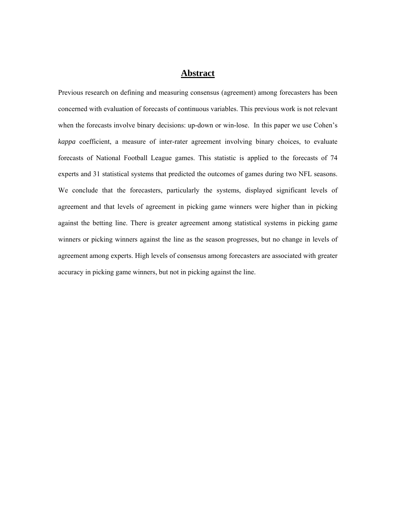## **Abstract**

Previous research on defining and measuring consensus (agreement) among forecasters has been concerned with evaluation of forecasts of continuous variables. This previous work is not relevant when the forecasts involve binary decisions: up-down or win-lose. In this paper we use Cohen's *kappa* coefficient, a measure of inter-rater agreement involving binary choices, to evaluate forecasts of National Football League games. This statistic is applied to the forecasts of 74 experts and 31 statistical systems that predicted the outcomes of games during two NFL seasons. We conclude that the forecasters, particularly the systems, displayed significant levels of agreement and that levels of agreement in picking game winners were higher than in picking against the betting line. There is greater agreement among statistical systems in picking game winners or picking winners against the line as the season progresses, but no change in levels of agreement among experts. High levels of consensus among forecasters are associated with greater accuracy in picking game winners, but not in picking against the line.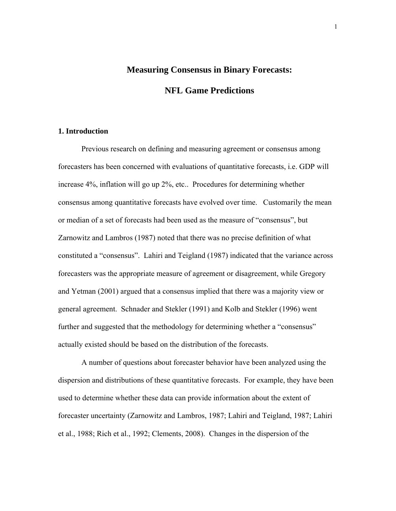## **Measuring Consensus in Binary Forecasts:**

**NFL Game Predictions** 

#### **1. Introduction**

Previous research on defining and measuring agreement or consensus among forecasters has been concerned with evaluations of quantitative forecasts, i.e. GDP will increase 4%, inflation will go up 2%, etc.. Procedures for determining whether consensus among quantitative forecasts have evolved over time. Customarily the mean or median of a set of forecasts had been used as the measure of "consensus", but Zarnowitz and Lambros (1987) noted that there was no precise definition of what constituted a "consensus". Lahiri and Teigland (1987) indicated that the variance across forecasters was the appropriate measure of agreement or disagreement, while Gregory and Yetman (2001) argued that a consensus implied that there was a majority view or general agreement. Schnader and Stekler (1991) and Kolb and Stekler (1996) went further and suggested that the methodology for determining whether a "consensus" actually existed should be based on the distribution of the forecasts.

 A number of questions about forecaster behavior have been analyzed using the dispersion and distributions of these quantitative forecasts. For example, they have been used to determine whether these data can provide information about the extent of forecaster uncertainty (Zarnowitz and Lambros, 1987; Lahiri and Teigland, 1987; Lahiri et al., 1988; Rich et al., 1992; Clements, 2008). Changes in the dispersion of the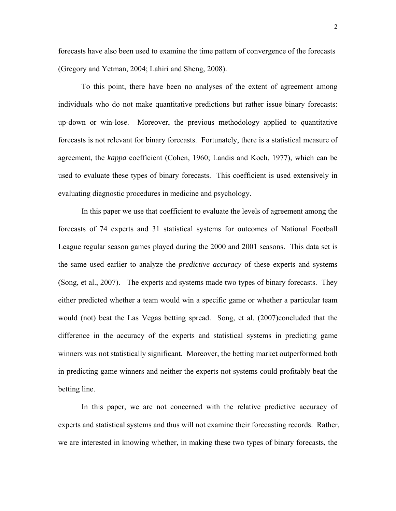forecasts have also been used to examine the time pattern of convergence of the forecasts (Gregory and Yetman, 2004; Lahiri and Sheng, 2008).

To this point, there have been no analyses of the extent of agreement among individuals who do not make quantitative predictions but rather issue binary forecasts: up-down or win-lose. Moreover, the previous methodology applied to quantitative forecasts is not relevant for binary forecasts. Fortunately, there is a statistical measure of agreement, the *kappa* coefficient (Cohen, 1960; Landis and Koch, 1977), which can be used to evaluate these types of binary forecasts. This coefficient is used extensively in evaluating diagnostic procedures in medicine and psychology.

In this paper we use that coefficient to evaluate the levels of agreement among the forecasts of 74 experts and 31 statistical systems for outcomes of National Football League regular season games played during the 2000 and 2001 seasons. This data set is the same used earlier to analyze the *predictive accuracy* of these experts and systems (Song, et al., 2007). The experts and systems made two types of binary forecasts. They either predicted whether a team would win a specific game or whether a particular team would (not) beat the Las Vegas betting spread. Song, et al. (2007)concluded that the difference in the accuracy of the experts and statistical systems in predicting game winners was not statistically significant. Moreover, the betting market outperformed both in predicting game winners and neither the experts not systems could profitably beat the betting line.

In this paper, we are not concerned with the relative predictive accuracy of experts and statistical systems and thus will not examine their forecasting records. Rather, we are interested in knowing whether, in making these two types of binary forecasts, the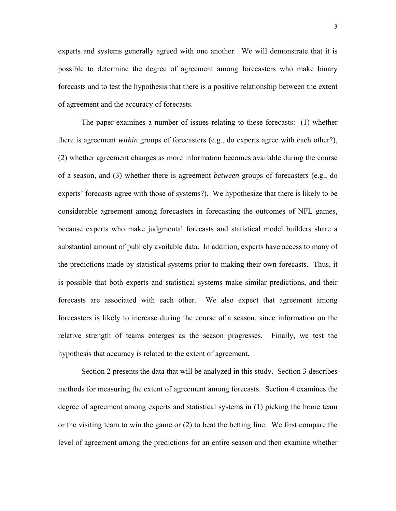experts and systems generally agreed with one another. We will demonstrate that it is possible to determine the degree of agreement among forecasters who make binary forecasts and to test the hypothesis that there is a positive relationship between the extent of agreement and the accuracy of forecasts.

The paper examines a number of issues relating to these forecasts: (1) whether there is agreement *within* groups of forecasters (e.g., do experts agree with each other?), (2) whether agreement changes as more information becomes available during the course of a season, and (3) whether there is agreement *between* groups of forecasters (e.g., do experts' forecasts agree with those of systems?). We hypothesize that there is likely to be considerable agreement among forecasters in forecasting the outcomes of NFL games, because experts who make judgmental forecasts and statistical model builders share a substantial amount of publicly available data. In addition, experts have access to many of the predictions made by statistical systems prior to making their own forecasts. Thus, it is possible that both experts and statistical systems make similar predictions, and their forecasts are associated with each other. We also expect that agreement among forecasters is likely to increase during the course of a season, since information on the relative strength of teams emerges as the season progresses. Finally, we test the hypothesis that accuracy is related to the extent of agreement.

Section 2 presents the data that will be analyzed in this study. Section 3 describes methods for measuring the extent of agreement among forecasts. Section 4 examines the degree of agreement among experts and statistical systems in (1) picking the home team or the visiting team to win the game or (2) to beat the betting line. We first compare the level of agreement among the predictions for an entire season and then examine whether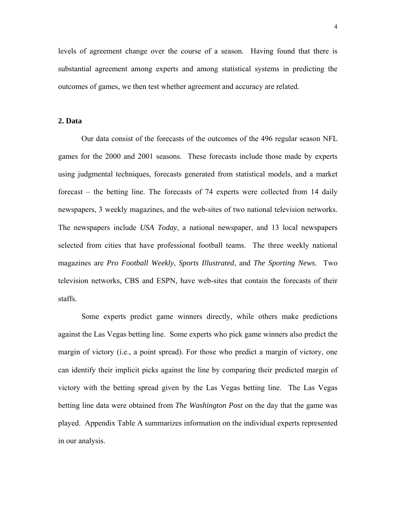levels of agreement change over the course of a season. Having found that there is substantial agreement among experts and among statistical systems in predicting the outcomes of games, we then test whether agreement and accuracy are related.

### **2. Data**

Our data consist of the forecasts of the outcomes of the 496 regular season NFL games for the 2000 and 2001 seasons. These forecasts include those made by experts using judgmental techniques, forecasts generated from statistical models, and a market forecast – the betting line. The forecasts of 74 experts were collected from 14 daily newspapers, 3 weekly magazines, and the web-sites of two national television networks. The newspapers include *USA Today*, a national newspaper, and 13 local newspapers selected from cities that have professional football teams. The three weekly national magazines are *Pro Football Weekly*, *Sports Illustrated*, and *The Sporting News*. Two television networks, CBS and ESPN, have web-sites that contain the forecasts of their staffs.

Some experts predict game winners directly, while others make predictions against the Las Vegas betting line. Some experts who pick game winners also predict the margin of victory (i.e., a point spread). For those who predict a margin of victory, one can identify their implicit picks against the line by comparing their predicted margin of victory with the betting spread given by the Las Vegas betting line. The Las Vegas betting line data were obtained from *The Washington Post* on the day that the game was played. Appendix Table A summarizes information on the individual experts represented in our analysis.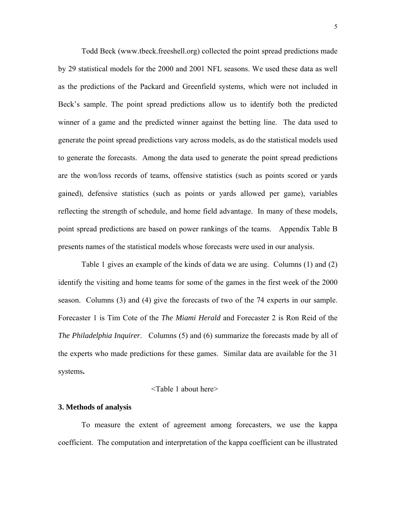Todd Beck (www.tbeck.freeshell.org) collected the point spread predictions made by 29 statistical models for the 2000 and 2001 NFL seasons. We used these data as well as the predictions of the Packard and Greenfield systems, which were not included in Beck's sample. The point spread predictions allow us to identify both the predicted winner of a game and the predicted winner against the betting line. The data used to generate the point spread predictions vary across models, as do the statistical models used to generate the forecasts. Among the data used to generate the point spread predictions are the won/loss records of teams, offensive statistics (such as points scored or yards gained), defensive statistics (such as points or yards allowed per game), variables reflecting the strength of schedule, and home field advantage. In many of these models, point spread predictions are based on power rankings of the teams. Appendix Table B presents names of the statistical models whose forecasts were used in our analysis.

Table 1 gives an example of the kinds of data we are using. Columns (1) and (2) identify the visiting and home teams for some of the games in the first week of the 2000 season. Columns (3) and (4) give the forecasts of two of the 74 experts in our sample. Forecaster 1 is Tim Cote of the *The Miami Herald* and Forecaster 2 is Ron Reid of the *The Philadelphia Inquirer*. Columns (5) and (6) summarize the forecasts made by all of the experts who made predictions for these games. Similar data are available for the 31 systems**.**

#### <Table 1 about here>

#### **3. Methods of analysis**

To measure the extent of agreement among forecasters, we use the kappa coefficient. The computation and interpretation of the kappa coefficient can be illustrated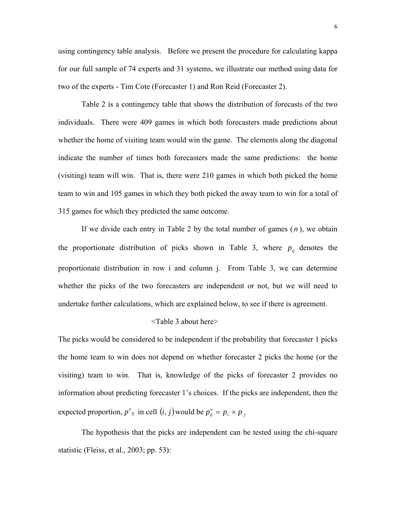using contingency table analysis. Before we present the procedure for calculating kappa for our full sample of 74 experts and 31 systems, we illustrate our method using data for two of the experts - Tim Cote (Forecaster 1) and Ron Reid (Forecaster 2).

Table 2 is a contingency table that shows the distribution of forecasts of the two individuals. There were 409 games in which both forecasters made predictions about whether the home of visiting team would win the game. The elements along the diagonal indicate the number of times both forecasters made the same predictions: the home (visiting) team will win. That is, there were 210 games in which both picked the home team to win and 105 games in which they both picked the away team to win for a total of 315 games for which they predicted the same outcome.

If we divide each entry in Table 2 by the total number of games ( *n* ), we obtain the proportionate distribution of picks shown in Table 3, where  $p_{ij}$  denotes the proportionate distribution in row і and column j. From Table 3, we can determine whether the picks of the two forecasters are independent or not, but we will need to undertake further calculations, which are explained below, to see if there is agreement.

#### <Table 3 about here>

The picks would be considered to be independent if the probability that forecaster 1 picks the home team to win does not depend on whether forecaster 2 picks the home (or the visiting) team to win. That is, knowledge of the picks of forecaster 2 provides no information about predicting forecaster 1's choices. If the picks are independent, then the expected proportion,  $p^e_{ij}$  in cell  $(i, j)$  would be  $p^e_{ij} = p_{i} \times p_{i,j}$ 

The hypothesis that the picks are independent can be tested using the chi-square statistic (Fleiss, et al., 2003; pp. 53):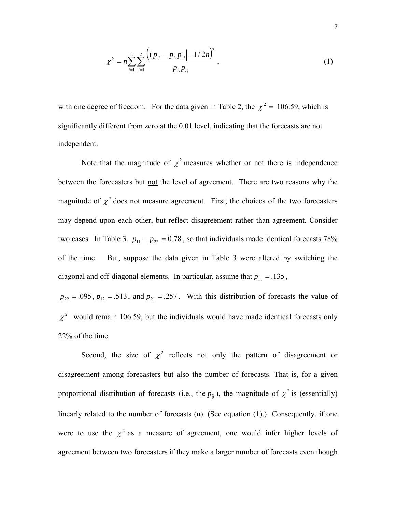$$
\chi^2 = n \sum_{i=1}^2 \sum_{j=1}^2 \frac{\left( \left( p_{ij} - p_{i,P,j} \right) - \frac{1}{2n} \right)^2}{p_{i,P,j}}, \tag{1}
$$

with one degree of freedom. For the data given in Table 2, the  $\chi^2 = 106.59$ , which is significantly different from zero at the 0.01 level, indicating that the forecasts are not independent.

Note that the magnitude of  $\chi^2$  measures whether or not there is independence between the forecasters but not the level of agreement. There are two reasons why the magnitude of  $\chi^2$  does not measure agreement. First, the choices of the two forecasters may depend upon each other, but reflect disagreement rather than agreement. Consider two cases. In Table 3,  $p_{11} + p_{22} = 0.78$ , so that individuals made identical forecasts 78% of the time. But, suppose the data given in Table 3 were altered by switching the diagonal and off-diagonal elements. In particular, assume that  $p_{11} = .135$ ,

 $p_{22} = 0.095$ ,  $p_{12} = 0.513$ , and  $p_{21} = 0.257$ . With this distribution of forecasts the value of  $\chi^2$  would remain 106.59, but the individuals would have made identical forecasts only 22% of the time.

Second, the size of  $\chi^2$  reflects not only the pattern of disagreement or disagreement among forecasters but also the number of forecasts. That is, for a given proportional distribution of forecasts (i.e., the  $p_{ij}$ ), the magnitude of  $\chi^2$  is (essentially) linearly related to the number of forecasts (n). (See equation (1).) Consequently, if one were to use the  $\chi^2$  as a measure of agreement, one would infer higher levels of agreement between two forecasters if they make a larger number of forecasts even though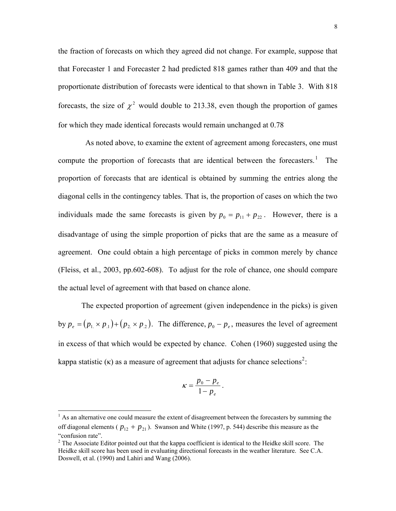the fraction of forecasts on which they agreed did not change. For example, suppose that that Forecaster 1 and Forecaster 2 had predicted 818 games rather than 409 and that the proportionate distribution of forecasts were identical to that shown in Table 3. With 818 forecasts, the size of  $\chi^2$  would double to 213.38, even though the proportion of games for which they made identical forecasts would remain unchanged at 0.78

 As noted above, to examine the extent of agreement among forecasters, one must compute the proportion of forecasts that are identical between the forecasters.<sup>[1](#page-10-0)</sup> The proportion of forecasts that are identical is obtained by summing the entries along the diagonal cells in the contingency tables. That is, the proportion of cases on which the two individuals made the same forecasts is given by  $p_0 = p_{11} + p_{22}$ . However, there is a disadvantage of using the simple proportion of picks that are the same as a measure of agreement. One could obtain a high percentage of picks in common merely by chance (Fleiss, et al., 2003, pp.602-608). To adjust for the role of chance, one should compare the actual level of agreement with that based on chance alone.

The expected proportion of agreement (given independence in the picks) is given by  $p_e = (p_1 \times p_1) + (p_2 \times p_2)$ . The difference,  $p_0 - p_e$ , measures the level of agreement in excess of that which would be expected by chance. Cohen (1960) suggested using the kappa statistic ( $\kappa$ ) as a measure of agreement that adjusts for chance selections<sup>[2](#page-10-1)</sup>:

$$
\kappa = \frac{p_0 - p_e}{1 - p_e}.
$$

<span id="page-10-0"></span><sup>|&</sup>lt;br>|<br>|  $\frac{1}{1}$  As an alternative one could measure the extent of disagreement between the forecasters by summing the off diagonal elements ( $p_{12} + p_{21}$ ). Swanson and White (1997, p. 544) describe this measure as the "confusion rate".

<span id="page-10-1"></span> $2^2$  The Associate Editor pointed out that the kappa coefficient is identical to the Heidke skill score. The Heidke skill score has been used in evaluating directional forecasts in the weather literature. See C.A. Doswell, et al. (1990) and Lahiri and Wang (2006).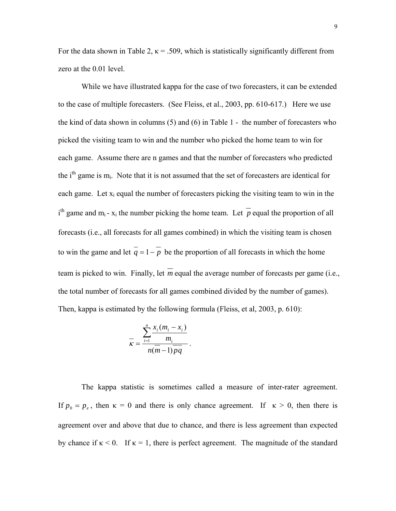For the data shown in Table 2,  $\kappa$  = .509, which is statistically significantly different from zero at the 0.01 level.

While we have illustrated kappa for the case of two forecasters, it can be extended to the case of multiple forecasters. (See Fleiss, et al., 2003, pp. 610-617.) Here we use the kind of data shown in columns (5) and (6) in Table 1 - the number of forecasters who picked the visiting team to win and the number who picked the home team to win for each game. Assume there are n games and that the number of forecasters who predicted the  $i<sup>th</sup>$  game is m<sub>i</sub>. Note that it is not assumed that the set of forecasters are identical for each game. Let  $x_i$  equal the number of forecasters picking the visiting team to win in the i<sup>th</sup> game and m<sub>i</sub> - x<sub>i</sub> the number picking the home team. Let  $\overline{p}$  equal the proportion of all forecasts (i.e., all forecasts for all games combined) in which the visiting team is chosen to win the game and let  $\overline{q} = 1 - \overline{p}$  be the proportion of all forecasts in which the home team is picked to win. Finally, let  $\overline{m}$  equal the average number of forecasts per game (i.e., the total number of forecasts for all games combined divided by the number of games). Then, kappa is estimated by the following formula (Fleiss, et al, 2003, p. 610):

$$
\overline{\kappa} = \frac{\sum_{i=1}^{n} \frac{x_i(m_i - x_i)}{m_i}}{n(m-1)\overline{pq}}.
$$

The kappa statistic is sometimes called a measure of inter-rater agreement. If  $p_0 = p_e$ , then  $\kappa = 0$  and there is only chance agreement. If  $\kappa > 0$ , then there is agreement over and above that due to chance, and there is less agreement than expected by chance if  $\kappa$  < 0. If  $\kappa$  = 1, there is perfect agreement. The magnitude of the standard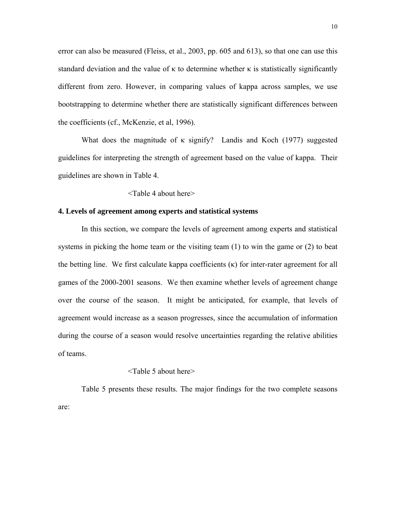error can also be measured (Fleiss, et al., 2003, pp. 605 and 613), so that one can use this standard deviation and the value of  $\kappa$  to determine whether  $\kappa$  is statistically significantly different from zero. However, in comparing values of kappa across samples, we use bootstrapping to determine whether there are statistically significant differences between the coefficients (cf., McKenzie, et al, 1996).

What does the magnitude of  $\kappa$  signify? Landis and Koch (1977) suggested guidelines for interpreting the strength of agreement based on the value of kappa. Their guidelines are shown in Table 4.

<Table 4 about here>

#### **4. Levels of agreement among experts and statistical systems**

In this section, we compare the levels of agreement among experts and statistical systems in picking the home team or the visiting team  $(1)$  to win the game or  $(2)$  to beat the betting line. We first calculate kappa coefficients  $(\kappa)$  for inter-rater agreement for all games of the 2000-2001 seasons. We then examine whether levels of agreement change over the course of the season. It might be anticipated, for example, that levels of agreement would increase as a season progresses, since the accumulation of information during the course of a season would resolve uncertainties regarding the relative abilities of teams.

#### <Table 5 about here>

Table 5 presents these results. The major findings for the two complete seasons are: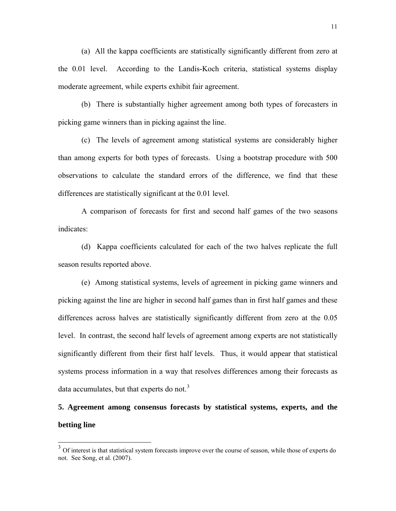(a) All the kappa coefficients are statistically significantly different from zero at the 0.01 level. According to the Landis-Koch criteria, statistical systems display moderate agreement, while experts exhibit fair agreement.

(b) There is substantially higher agreement among both types of forecasters in picking game winners than in picking against the line.

(c) The levels of agreement among statistical systems are considerably higher than among experts for both types of forecasts. Using a bootstrap procedure with 500 observations to calculate the standard errors of the difference, we find that these differences are statistically significant at the 0.01 level.

A comparison of forecasts for first and second half games of the two seasons indicates:

(d) Kappa coefficients calculated for each of the two halves replicate the full season results reported above.

(e) Among statistical systems, levels of agreement in picking game winners and picking against the line are higher in second half games than in first half games and these differences across halves are statistically significantly different from zero at the 0.05 level. In contrast, the second half levels of agreement among experts are not statistically significantly different from their first half levels. Thus, it would appear that statistical systems process information in a way that resolves differences among their forecasts as data accumulates, but that experts do not. $3$ 

# **5. Agreement among consensus forecasts by statistical systems, experts, and the betting line**

 $\overline{\phantom{a}}$ 

<span id="page-13-0"></span><sup>&</sup>lt;sup>3</sup> Of interest is that statistical system forecasts improve over the course of season, while those of experts do not. See Song, et al. (2007).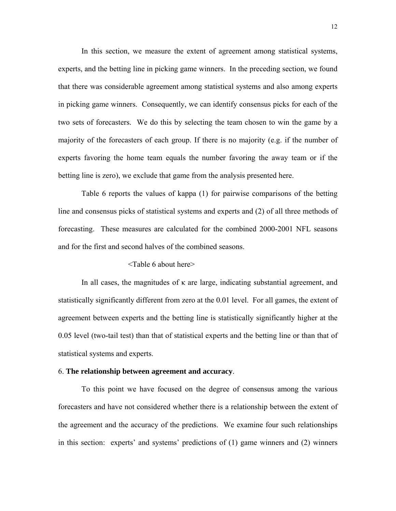In this section, we measure the extent of agreement among statistical systems, experts, and the betting line in picking game winners. In the preceding section, we found that there was considerable agreement among statistical systems and also among experts in picking game winners. Consequently, we can identify consensus picks for each of the two sets of forecasters. We do this by selecting the team chosen to win the game by a majority of the forecasters of each group. If there is no majority (e.g. if the number of experts favoring the home team equals the number favoring the away team or if the betting line is zero), we exclude that game from the analysis presented here.

Table 6 reports the values of kappa (1) for pairwise comparisons of the betting line and consensus picks of statistical systems and experts and (2) of all three methods of forecasting. These measures are calculated for the combined 2000-2001 NFL seasons and for the first and second halves of the combined seasons.

#### <Table 6 about here>

In all cases, the magnitudes of  $\kappa$  are large, indicating substantial agreement, and statistically significantly different from zero at the 0.01 level. For all games, the extent of agreement between experts and the betting line is statistically significantly higher at the 0.05 level (two-tail test) than that of statistical experts and the betting line or than that of statistical systems and experts.

#### 6. **The relationship between agreement and accuracy**.

 To this point we have focused on the degree of consensus among the various forecasters and have not considered whether there is a relationship between the extent of the agreement and the accuracy of the predictions. We examine four such relationships in this section: experts' and systems' predictions of (1) game winners and (2) winners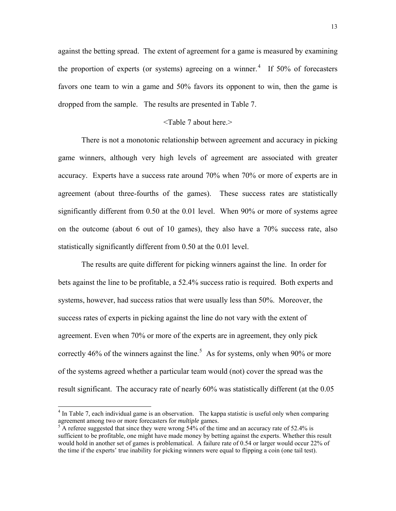against the betting spread. The extent of agreement for a game is measured by examining the proportion of experts (or systems) agreeing on a winner.<sup>[4](#page-15-0)</sup> If 50% of forecasters favors one team to win a game and 50% favors its opponent to win, then the game is dropped from the sample. The results are presented in Table 7.

#### <Table 7 about here.>

 There is not a monotonic relationship between agreement and accuracy in picking game winners, although very high levels of agreement are associated with greater accuracy. Experts have a success rate around 70% when 70% or more of experts are in agreement (about three-fourths of the games). These success rates are statistically significantly different from 0.50 at the 0.01 level. When 90% or more of systems agree on the outcome (about 6 out of 10 games), they also have a 70% success rate, also statistically significantly different from 0.50 at the 0.01 level.

The results are quite different for picking winners against the line. In order for bets against the line to be profitable, a 52.4% success ratio is required. Both experts and systems, however, had success ratios that were usually less than 50%. Moreover, the success rates of experts in picking against the line do not vary with the extent of agreement. Even when 70% or more of the experts are in agreement, they only pick correctly 46% of the winners against the line.<sup>[5](#page-15-1)</sup> As for systems, only when 90% or more of the systems agreed whether a particular team would (not) cover the spread was the result significant. The accuracy rate of nearly 60% was statistically different (at the 0.05

 $\overline{\phantom{a}}$ 

<span id="page-15-0"></span><sup>&</sup>lt;sup>4</sup> In Table 7, each individual game is an observation. The kappa statistic is useful only when comparing agreement among two or more forecasters for *multiple* games.

<span id="page-15-1"></span> $\frac{1}{2}$  A referee suggested that since they were wrong 54% of the time and an accuracy rate of 52.4% is sufficient to be profitable, one might have made money by betting against the experts. Whether this result would hold in another set of games is problematical. A failure rate of 0.54 or larger would occur 22% of the time if the experts' true inability for picking winners were equal to flipping a coin (one tail test).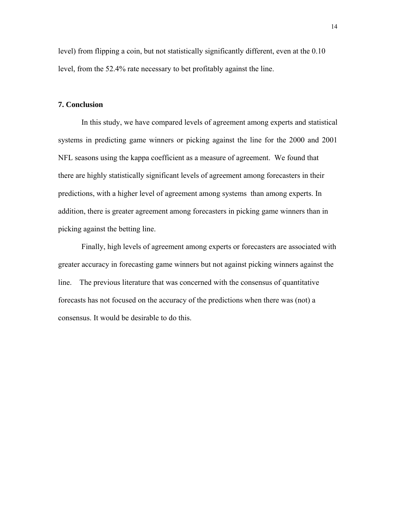level) from flipping a coin, but not statistically significantly different, even at the 0.10 level, from the 52.4% rate necessary to bet profitably against the line.

#### **7. Conclusion**

In this study, we have compared levels of agreement among experts and statistical systems in predicting game winners or picking against the line for the 2000 and 2001 NFL seasons using the kappa coefficient as a measure of agreement. We found that there are highly statistically significant levels of agreement among forecasters in their predictions, with a higher level of agreement among systems than among experts. In addition, there is greater agreement among forecasters in picking game winners than in picking against the betting line.

Finally, high levels of agreement among experts or forecasters are associated with greater accuracy in forecasting game winners but not against picking winners against the line. The previous literature that was concerned with the consensus of quantitative forecasts has not focused on the accuracy of the predictions when there was (not) a consensus. It would be desirable to do this.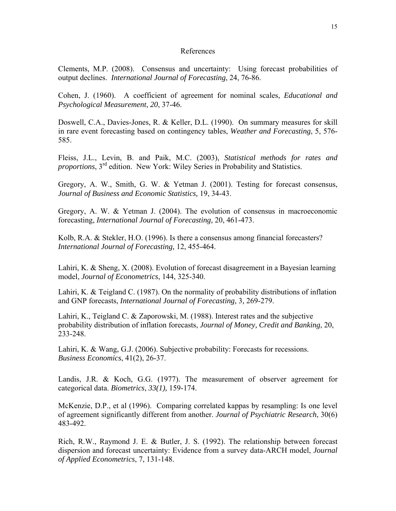#### References

Clements, M.P. (2008). Consensus and uncertainty: Using forecast probabilities of output declines. *International Journal of Forecasting*, 24, 76-86.

Cohen, J. (1960). A coefficient of agreement for nominal scales, *Educational and Psychological Measurement*, *20*, 37-46.

Doswell, C.A., Davies-Jones, R. & Keller, D.L. (1990). On summary measures for skill in rare event forecasting based on contingency tables, *Weather and Forecasting*, 5, 576- 585.

Fleiss, J.L., Levin, B. and Paik, M.C. (2003), *Statistical methods for rates and proportions*, 3rd edition. New York: Wiley Series in Probability and Statistics.

Gregory, A. W., Smith, G. W. & Yetman J. (2001). Testing for forecast consensus, *Journal of Business and Economic Statistics,* 19, 34-43.

Gregory, A. W. & Yetman J. (2004). The evolution of consensus in macroeconomic forecasting, *International Journal of Forecasting,* 20, 461-473.

Kolb, R.A. & Stekler, H.O. (1996). Is there a consensus among financial forecasters? *International Journal of Forecasting,* 12, 455-464.

Lahiri, K. & Sheng, X. (2008). Evolution of forecast disagreement in a Bayesian learning model, *Journal of Econometrics*, 144, 325-340.

Lahiri, K. & Teigland C. (1987). On the normality of probability distributions of inflation and GNP forecasts, *International Journal of Forecasting,* 3*,* 269-279.

Lahiri, K., Teigland C. & Zaporowski, M. (1988). Interest rates and the subjective probability distribution of inflation forecasts, *Journal of Money, Credit and Banking*, 20, 233-248.

Lahiri, K. & Wang, G.J. (2006). Subjective probability: Forecasts for recessions. *Business Economics*, 41(2), 26-37.

Landis, J.R. & Koch, G.G. (1977). The measurement of observer agreement for categorical data. *Biometrics*, *33(1),* 159-174.

McKenzie, D.P., et al (1996). Comparing correlated kappas by resampling: Is one level of agreement significantly different from another. *Journal of Psychiatric Research*, 30(6) 483-492.

Rich, R.W., Raymond J. E. & Butler, J. S. (1992). The relationship between forecast dispersion and forecast uncertainty: Evidence from a survey data-ARCH model, *Journal of Applied Econometrics*, 7, 131-148.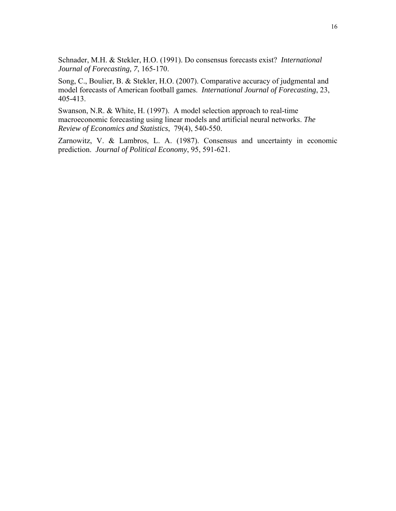Schnader, M.H. & Stekler, H.O. (1991). Do consensus forecasts exist? *International Journal of Forecasting, 7*, 165-170.

Song, C., Boulier, B. & Stekler, H.O. (2007). Comparative accuracy of judgmental and model forecasts of American football games. *International Journal of Forecasting*, 23, 405-413.

Swanson, N.R. & White, H. (1997). A model selection approach to real-time macroeconomic forecasting using linear models and artificial neural networks. *The Review of Economics and Statistics*, 79(4), 540-550.

Zarnowitz, V. & Lambros, L. A. (1987). Consensus and uncertainty in economic prediction. *Journal of Political Economy*, 95, 591-621.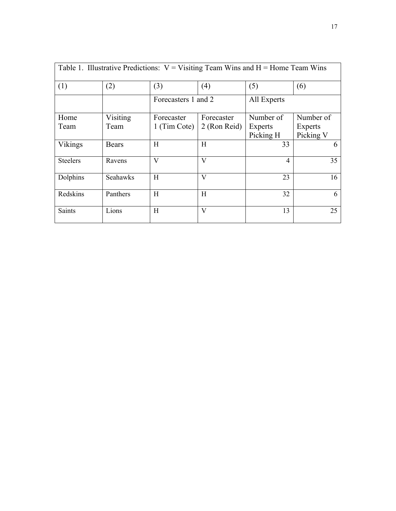| Table 1. Illustrative Predictions: $V = V$ isiting Team Wins and $H =$ Home Team Wins |              |                     |              |             |                |
|---------------------------------------------------------------------------------------|--------------|---------------------|--------------|-------------|----------------|
| (1)                                                                                   | (2)          | (3)                 | (4)          | (5)         | (6)            |
|                                                                                       |              | Forecasters 1 and 2 |              | All Experts |                |
| Home                                                                                  | Visiting     | Forecaster          | Forecaster   | Number of   | Number of      |
| Team                                                                                  | Team         | 1 (Tim Cote)        | 2 (Ron Reid) | Experts     | <b>Experts</b> |
|                                                                                       |              |                     |              | Picking H   | Picking V      |
| Vikings                                                                               | <b>Bears</b> | H                   | H            | 33          | 6              |
| <b>Steelers</b>                                                                       | Ravens       | V                   | V            | 4           | 35             |
| Dolphins                                                                              | Seahawks     | H                   | V            | 23          | 16             |
| Redskins                                                                              | Panthers     | H                   | H            | 32          | 6              |
| <b>Saints</b>                                                                         | Lions        | Η                   | V            | 13          | 25             |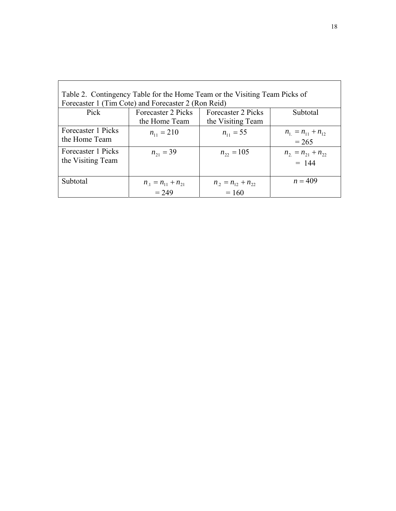| Table 2. Contingency Table for the Home Team or the Visiting Team Picks of<br>Forecaster 1 (Tim Cote) and Forecaster 2 (Ron Reid) |                                                                                            |                                    |                                    |  |
|-----------------------------------------------------------------------------------------------------------------------------------|--------------------------------------------------------------------------------------------|------------------------------------|------------------------------------|--|
| Pick                                                                                                                              | Forecaster 2 Picks<br>Forecaster 2 Picks<br>Subtotal<br>the Home Team<br>the Visiting Team |                                    |                                    |  |
| Forecaster 1 Picks<br>the Home Team                                                                                               | $n_{11} = 210$                                                                             | $n_{11} = 55$                      | $n_1 = n_{11} + n_{12}$<br>$= 265$ |  |
| Forecaster 1 Picks<br>the Visiting Team                                                                                           | $n_{21} = 39$                                                                              | $n_{22} = 105$                     | $n_2 = n_{21} + n_{22}$<br>$= 144$ |  |
| Subtotal                                                                                                                          | $n_1 = n_{11} + n_{21}$<br>$= 249$                                                         | $n_2 = n_{12} + n_{22}$<br>$= 160$ | $n = 409$                          |  |

 $\overline{\phantom{a}}$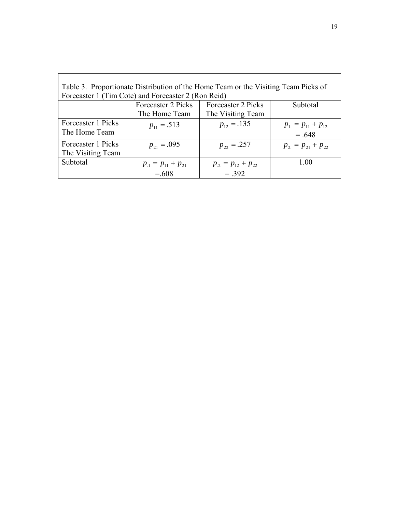| Table 3. Proportionate Distribution of the Home Team or the Visiting Team Picks of |                                                     |                         |                         |  |  |
|------------------------------------------------------------------------------------|-----------------------------------------------------|-------------------------|-------------------------|--|--|
|                                                                                    | Forecaster 1 (Tim Cote) and Forecaster 2 (Ron Reid) |                         |                         |  |  |
|                                                                                    | Forecaster 2 Picks                                  | Forecaster 2 Picks      | Subtotal                |  |  |
|                                                                                    | The Home Team                                       | The Visiting Team       |                         |  |  |
| Forecaster 1 Picks                                                                 | $p_{11} = .513$                                     | $p_{12} = .135$         | $p_1 = p_{11} + p_{12}$ |  |  |
| The Home Team                                                                      |                                                     |                         | $=.648$                 |  |  |
| Forecaster 1 Picks                                                                 | $p_{21} = .095$                                     | $p_{22} = .257$         | $p_2 = p_{21} + p_{22}$ |  |  |
| The Visiting Team                                                                  |                                                     |                         |                         |  |  |
| Subtotal                                                                           | $p_1 = p_{11} + p_{21}$                             | $p_2 = p_{12} + p_{22}$ | 1.00                    |  |  |
|                                                                                    | $= 608$                                             | $= 392$                 |                         |  |  |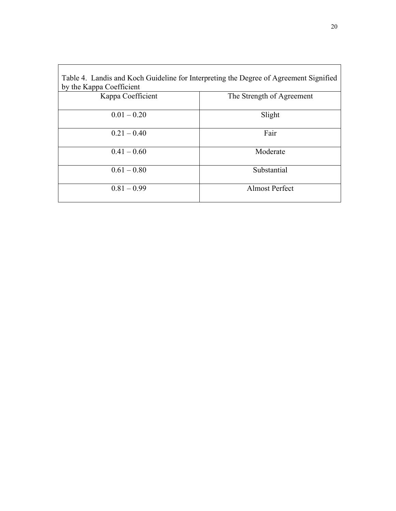| Table 4. Landis and Koch Guideline for Interpreting the Degree of Agreement Signified |                           |
|---------------------------------------------------------------------------------------|---------------------------|
| by the Kappa Coefficient                                                              |                           |
| Kappa Coefficient                                                                     | The Strength of Agreement |
| $0.01 - 0.20$                                                                         | Slight                    |
| $0.21 - 0.40$                                                                         | Fair                      |
| $0.41 - 0.60$                                                                         | Moderate                  |
| $0.61 - 0.80$                                                                         | Substantial               |
| $0.81 - 0.99$                                                                         | <b>Almost Perfect</b>     |

 $\overline{\phantom{a}}$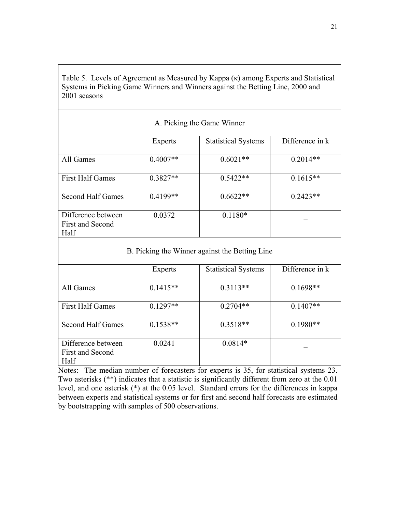Table 5. Levels of Agreement as Measured by Kappa (κ) among Experts and Statistical Systems in Picking Game Winners and Winners against the Betting Line, 2000 and 2001 seasons

| A. Picking the Game Winner                            |                |                            |                 |
|-------------------------------------------------------|----------------|----------------------------|-----------------|
|                                                       | <b>Experts</b> | <b>Statistical Systems</b> | Difference in k |
| All Games                                             | $0.4007**$     | $0.6021**$                 | $0.2014**$      |
| <b>First Half Games</b>                               | $0.3827**$     | $0.5422**$                 | $0.1615**$      |
| Second Half Games                                     | $0.4199**$     | $0.6622**$                 | $0.2423**$      |
| Difference between<br><b>First and Second</b><br>Half | 0.0372         | $0.1180*$                  |                 |

## B. Picking the Winner against the Betting Line

|                                                | <b>Experts</b> | <b>Statistical Systems</b> | Difference in k |
|------------------------------------------------|----------------|----------------------------|-----------------|
| All Games                                      | $0.1415**$     | $0.3113**$                 | $0.1698**$      |
| <b>First Half Games</b>                        | $0.1297**$     | $0.2704**$                 | $0.1407**$      |
| Second Half Games                              | $0.1538**$     | $0.3518**$                 | $0.1980**$      |
| Difference between<br>First and Second<br>Half | 0.0241         | $0.0814*$                  |                 |

Notes: The median number of forecasters for experts is 35, for statistical systems 23. Two asterisks (\*\*) indicates that a statistic is significantly different from zero at the 0.01 level, and one asterisk (\*) at the 0.05 level. Standard errors for the differences in kappa between experts and statistical systems or for first and second half forecasts are estimated by bootstrapping with samples of 500 observations.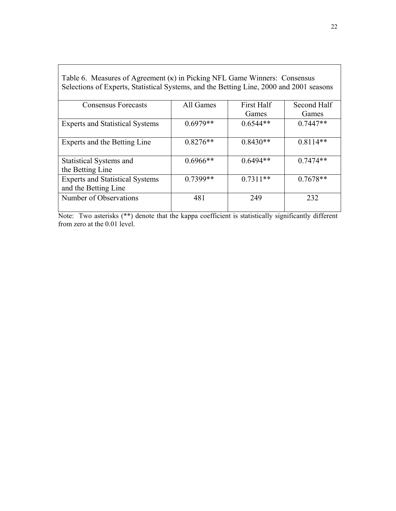| <b>Consensus Forecasts</b>                                     | All Games  | <b>First Half</b> | Second Half |
|----------------------------------------------------------------|------------|-------------------|-------------|
|                                                                |            | Games             | Games       |
| <b>Experts and Statistical Systems</b>                         | $0.6979**$ | $0.6544**$        | $0.7447**$  |
| Experts and the Betting Line                                   | $0.8276**$ | $0.8430**$        | $0.8114**$  |
| Statistical Systems and<br>the Betting Line                    | $0.6966**$ | $0.6494**$        | $0.7474**$  |
| <b>Experts and Statistical Systems</b><br>and the Betting Line | $0.7399**$ | $0.7311**$        | $0.7678**$  |
| Number of Observations                                         | 481        | 249               | 232         |

Table 6. Measures of Agreement (κ) in Picking NFL Game Winners: Consensus Selections of Experts, Statistical Systems, and the Betting Line, 2000 and 2001 seasons

Note: Two asterisks (\*\*) denote that the kappa coefficient is statistically significantly different from zero at the 0.01 level.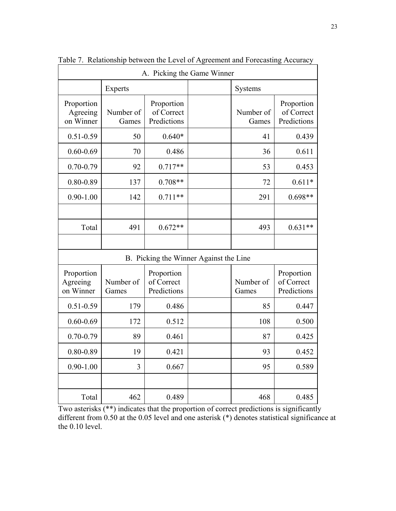| A. Picking the Game Winner          |                                                               |                                         |                                        |                    |                                         |
|-------------------------------------|---------------------------------------------------------------|-----------------------------------------|----------------------------------------|--------------------|-----------------------------------------|
|                                     | Experts                                                       |                                         |                                        | Systems            |                                         |
| Proportion<br>Agreeing<br>on Winner | Number of<br>Games                                            | Proportion<br>of Correct<br>Predictions |                                        | Number of<br>Games | Proportion<br>of Correct<br>Predictions |
| $0.51 - 0.59$                       | 50                                                            | $0.640*$                                |                                        | 41                 | 0.439                                   |
| $0.60 - 0.69$                       | 70                                                            | 0.486                                   |                                        | 36                 | 0.611                                   |
| $0.70 - 0.79$                       | 92                                                            | $0.717**$                               |                                        | 53                 | 0.453                                   |
| $0.80 - 0.89$                       | 137                                                           | $0.708**$                               |                                        | 72                 | $0.611*$                                |
| $0.90 - 1.00$                       | 142                                                           | $0.711**$                               |                                        | 291                | $0.698**$                               |
|                                     |                                                               |                                         |                                        |                    |                                         |
| Total                               | 491                                                           | $0.672**$                               |                                        | 493                | $0.631**$                               |
|                                     |                                                               |                                         |                                        |                    |                                         |
|                                     |                                                               |                                         | B. Picking the Winner Against the Line |                    |                                         |
| Proportion<br>Agreeing<br>on Winner | Proportion<br>Number of<br>of Correct<br>Predictions<br>Games |                                         |                                        | Number of<br>Games | Proportion<br>of Correct<br>Predictions |
| $0.51 - 0.59$                       | 179                                                           | 0.486                                   |                                        | 85                 | 0.447                                   |
| $0.60 - 0.69$                       | 172                                                           | 0.512                                   |                                        | 108                | 0.500                                   |
| $0.70 - 0.79$                       | 89                                                            | 0.461                                   |                                        | 87                 | 0.425                                   |
| 0.80-0.89                           | 19                                                            | 0.421                                   |                                        | 93                 | 0.452                                   |
| $0.90 - 1.00$                       | 3                                                             | 0.667                                   |                                        | 95                 | 0.589                                   |
|                                     |                                                               |                                         |                                        |                    |                                         |
| Total                               | 462                                                           | 0.489                                   |                                        | 468                | 0.485                                   |

Table 7. Relationship between the Level of Agreement and Forecasting Accuracy

Two asterisks (\*\*) indicates that the proportion of correct predictions is significantly different from 0.50 at the 0.05 level and one asterisk (\*) denotes statistical significance at the 0.10 level.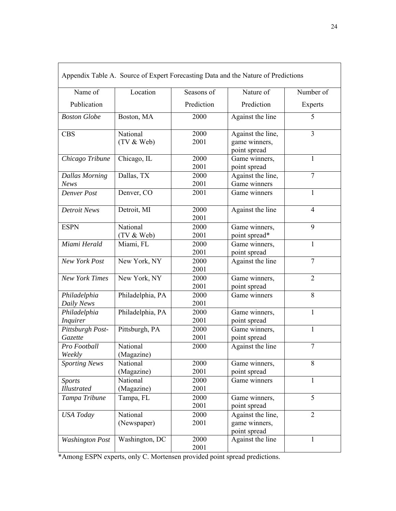|                                      |                         |              | Appendix Table A. Source of Expert Forecasting Data and the Nature of Predictions |                |
|--------------------------------------|-------------------------|--------------|-----------------------------------------------------------------------------------|----------------|
| Name of                              | Location                | Seasons of   | Nature of                                                                         | Number of      |
| Publication                          |                         | Prediction   | Prediction                                                                        | Experts        |
| <b>Boston Globe</b>                  | Boston, MA              | 2000         | Against the line                                                                  | 5              |
| <b>CBS</b>                           | National<br>(TV & Web)  | 2000<br>2001 | Against the line,<br>game winners,<br>point spread                                | $\overline{3}$ |
| Chicago Tribune                      | Chicago, IL             | 2000<br>2001 | Game winners,<br>point spread                                                     | 1              |
| <b>Dallas Morning</b><br><b>News</b> | Dallas, TX              | 2000<br>2001 | Against the line,<br>Game winners                                                 | $\overline{7}$ |
| Denver Post                          | Denver, CO              | 2001         | Game winners                                                                      | $\mathbf{1}$   |
| <b>Detroit News</b>                  | Detroit, MI             | 2000<br>2001 | Against the line                                                                  | $\overline{4}$ |
| <b>ESPN</b>                          | National<br>(TV & Web)  | 2000<br>2001 | Game winners,<br>point spread*                                                    | 9              |
| Miami Herald                         | Miami, FL               | 2000<br>2001 | Game winners,<br>point spread                                                     | 1              |
| New York Post                        | New York, NY            | 2000<br>2001 | Against the line                                                                  | $\overline{7}$ |
| <b>New York Times</b>                | New York, NY            | 2000<br>2001 | Game winners,<br>point spread                                                     | $\overline{2}$ |
| Philadelphia<br>Daily News           | Philadelphia, PA        | 2000<br>2001 | Game winners                                                                      | 8              |
| Philadelphia<br><b>Inquirer</b>      | Philadelphia, PA        | 2000<br>2001 | Game winners,<br>point spread                                                     | 1              |
| Pittsburgh Post-<br>Gazette          | Pittsburgh, PA          | 2000<br>2001 | Game winners,<br>point spread                                                     | $\mathbf{1}$   |
| Pro Football<br>Weekly               | National<br>(Magazine)  | 2000         | Against the line                                                                  | $\overline{7}$ |
| <b>Sporting News</b>                 | National<br>(Magazine)  | 2000<br>2001 | Game winners,<br>point spread                                                     | 8              |
| <b>Sports</b><br><b>Illustrated</b>  | National<br>(Magazine)  | 2000<br>2001 | Game winners                                                                      | 1              |
| Tampa Tribune                        | Tampa, FL               | 2000<br>2001 | Game winners,<br>point spread                                                     | 5              |
| <b>USA</b> Today                     | National<br>(Newspaper) | 2000<br>2001 | Against the line,<br>game winners,<br>point spread                                | $\overline{2}$ |
| <b>Washington Post</b>               | Washington, DC          | 2000<br>2001 | Against the line                                                                  | 1              |

Appendix Table A. Source of Expert Forecasting Data and the Nature of Predictions

\*Among ESPN experts, only C. Mortensen provided point spread predictions.